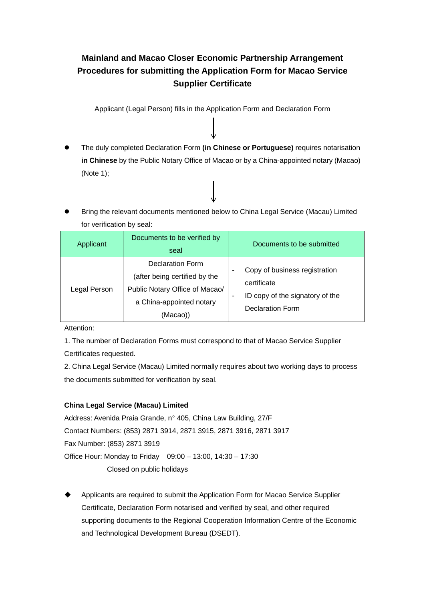## **Mainland and Macao Closer Economic Partnership Arrangement Procedures for submitting the Application Form for Macao Service Supplier Certificate**

Applicant (Legal Person) fills in the Application Form and Declaration Form

- The duly completed Declaration Form **(in Chinese or Portuguese)** requires notarisation **in Chinese** by the Public Notary Office of Macao or by a China-appointed notary (Macao) (Note 1);
- Bring the relevant documents mentioned below to China Legal Service (Macau) Limited for verification by seal:

| Applicant    | Documents to be verified by<br>seal                                                                                                | Documents to be submitted                                                                                     |
|--------------|------------------------------------------------------------------------------------------------------------------------------------|---------------------------------------------------------------------------------------------------------------|
| Legal Person | <b>Declaration Form</b><br>(after being certified by the<br>Public Notary Office of Macao/<br>a China-appointed notary<br>(Macao)) | Copy of business registration<br>۰<br>certificate<br>ID copy of the signatory of the<br>٠<br>Declaration Form |

Attention:

1. The number of Declaration Forms must correspond to that of Macao Service Supplier Certificates requested.

2. China Legal Service (Macau) Limited normally requires about two working days to process the documents submitted for verification by seal.

## **China Legal Service (Macau) Limited**

Address: Avenida Praia Grande, n° 405, China Law Building, 27/F Contact Numbers: (853) 2871 3914, 2871 3915, 2871 3916, 2871 3917 Fax Number: (853) 2871 3919 Office Hour: Monday to Friday 09:00 – 13:00, 14:30 – 17:30 Closed on public holidays

 Applicants are required to submit the Application Form for Macao Service Supplier Certificate, Declaration Form notarised and verified by seal, and other required supporting documents to the Regional Cooperation Information Centre of the Economic and Technological Development Bureau (DSEDT).